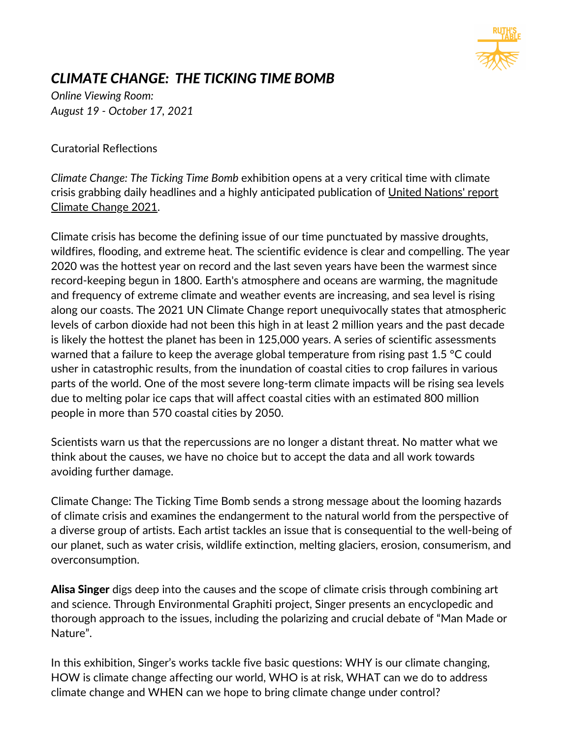

## *CLIMATE CHANGE: THE TICKING TIME BOMB*

*Online Viewing Room: August 19 - October 17, 2021*

Curatorial Reflections

*Climate Change: The Ticking Time Bomb* exhibition opens at a very critical time with climate crisis grabbing daily headlines and a highly [anticipated](https://www.ipcc.ch/assessment-report/ar6/) publication of United Nations' report Climate Change 2021.

Climate crisis has become the defining issue of our time punctuated by massive droughts, wildfires, flooding, and extreme heat. The scientific evidence is clear and compelling. The year 2020 was the hottest year on record and the last seven years have been the warmest since record-keeping begun in 1800. Earth's atmosphere and oceans are warming, the magnitude and frequency of extreme climate and weather events are increasing, and sea level is rising along our coasts. The 2021 UN Climate Change report unequivocally states that atmospheric levels of carbon dioxide had not been this high in at least 2 million years and the past decade is likely the hottest the planet has been in 125,000 years. A series of scientific assessments warned that a failure to keep the average global temperature from rising past 1.5 °C could usher in catastrophic results, from the inundation of coastal cities to crop failures in various parts of the world. One of the most severe long-term climate impacts will be rising sea levels due to melting polar ice caps that will affect coastal cities with an estimated 800 million people in more than 570 coastal cities by 2050.

Scientists warn us that the repercussions are no longer a distant threat. No matter what we think about the causes, we have no choice but to accept the data and all work towards avoiding further damage.

Climate Change: The Ticking Time Bomb sends a strong message about the looming hazards of climate crisis and examines the endangerment to the natural world from the perspective of a diverse group of artists. Each artist tackles an issue that is consequential to the well-being of our planet, such as water crisis, wildlife extinction, melting glaciers, erosion, consumerism, and overconsumption.

Alisa Singer digs deep into the causes and the scope of climate crisis through combining art and science. Through Environmental Graphiti project, Singer presents an encyclopedic and thorough approach to the issues, including the polarizing and crucial debate of "Man Made or Nature".

In this exhibition, Singer's works tackle five basic questions: WHY is our climate changing, HOW is climate change affecting our world, WHO is at risk, WHAT can we do to address climate change and WHEN can we hope to bring climate change under control?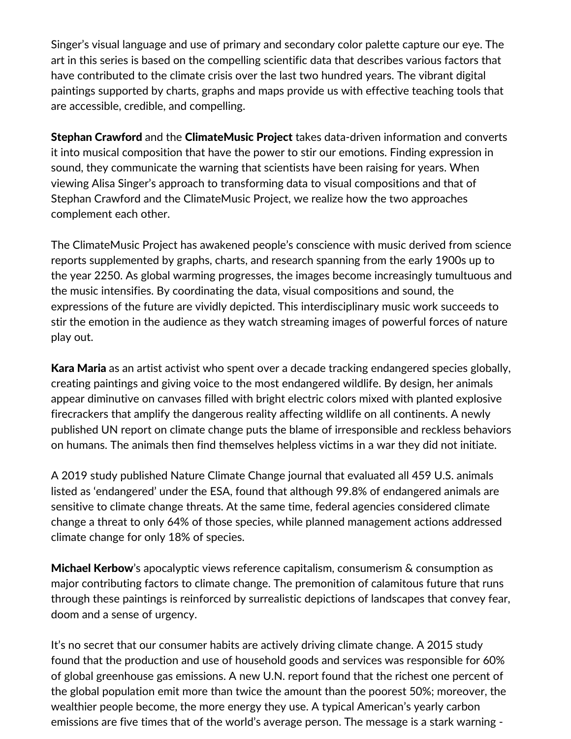Singer's visual language and use of primary and secondary color palette capture our eye. The art in this series is based on the compelling scientific data that describes various factors that have contributed to the climate crisis over the last two hundred years. The vibrant digital paintings supported by charts, graphs and maps provide us with effective teaching tools that are accessible, credible, and compelling.

Stephan Crawford and the ClimateMusic Project takes data-driven information and converts it into musical composition that have the power to stir our emotions. Finding expression in sound, they communicate the warning that scientists have been raising for years. When viewing Alisa Singer's approach to transforming data to visual compositions and that of Stephan Crawford and the ClimateMusic Project, we realize how the two approaches complement each other.

The ClimateMusic Project has awakened people's conscience with music derived from science reports supplemented by graphs, charts, and research spanning from the early 1900s up to the year 2250. As global warming progresses, the images become increasingly tumultuous and the music intensifies. By coordinating the data, visual compositions and sound, the expressions of the future are vividly depicted. This interdisciplinary music work succeeds to stir the emotion in the audience as they watch streaming images of powerful forces of nature play out.

Kara Maria as an artist activist who spent over a decade tracking endangered species globally, creating paintings and giving voice to the most endangered wildlife. By design, her animals appear diminutive on canvases filled with bright electric colors mixed with planted explosive firecrackers that amplify the dangerous reality affecting wildlife on all continents. A newly published UN report on climate change puts the blame of irresponsible and reckless behaviors on humans. The animals then find themselves helpless victims in a war they did not initiate.

A 2019 study published Nature Climate Change journal that evaluated all 459 U.S. animals listed as 'endangered' under the ESA, found that although 99.8% of endangered animals are sensitive to climate change threats. At the same time, federal agencies considered climate change a threat to only 64% of those species, while planned management actions addressed climate change for only 18% of species.

Michael Kerbow's apocalyptic views reference capitalism, consumerism & consumption as major contributing factors to climate change. The premonition of calamitous future that runs through these paintings is reinforced by surrealistic depictions of landscapes that convey fear, doom and a sense of urgency.

It's no secret that our consumer habits are actively driving climate change. A 2015 [study](https://onlinelibrary.wiley.com/doi/abs/10.1111/jiec.12371) found that the production and use of household goods and services was responsible for 60% of global greenhouse gas emissions. A new U.N. [report](https://www.unep.org/emissions-gap-report-2020) found that the richest one percent of the global population emit more than twice the amount than the poorest 50%; moreover, the wealthier people become, the more energy they use. A typical American's yearly carbon emissions are five [times](https://www.pbs.org/newshour/science/5-charts-show-how-your-household-drives-up-global-greenhouse-gas-emissions) that of the world's average person. The message is a stark warning -